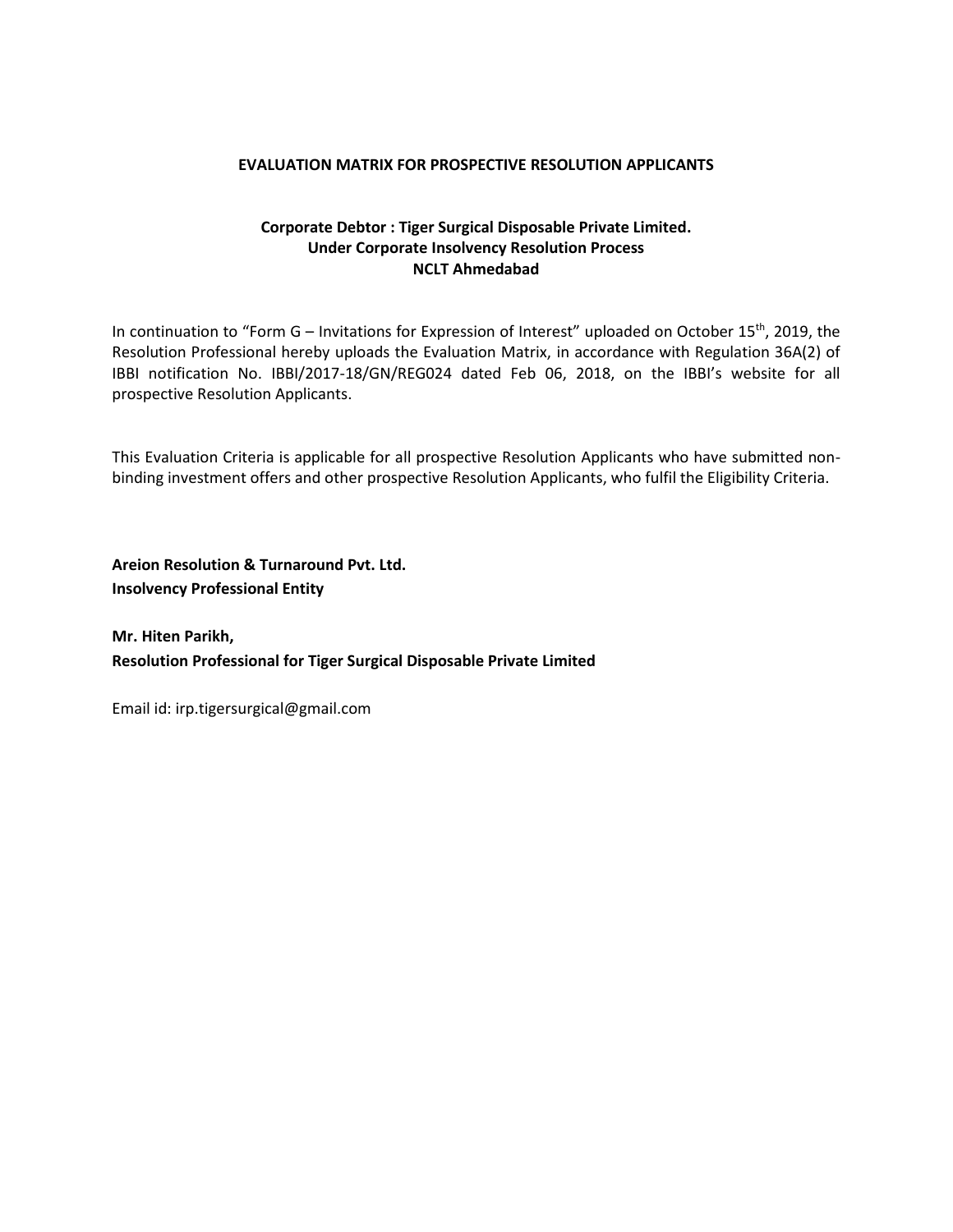## **EVALUATION MATRIX FOR PROSPECTIVE RESOLUTION APPLICANTS**

## **Corporate Debtor : Tiger Surgical Disposable Private Limited. Under Corporate Insolvency Resolution Process NCLT Ahmedabad**

In continuation to "Form G – Invitations for Expression of Interest" uploaded on October  $15<sup>th</sup>$ , 2019, the Resolution Professional hereby uploads the Evaluation Matrix, in accordance with Regulation 36A(2) of IBBI notification No. IBBI/2017-18/GN/REG024 dated Feb 06, 2018, on the IBBI's website for all prospective Resolution Applicants.

This Evaluation Criteria is applicable for all prospective Resolution Applicants who have submitted nonbinding investment offers and other prospective Resolution Applicants, who fulfil the Eligibility Criteria.

**Areion Resolution & Turnaround Pvt. Ltd. Insolvency Professional Entity**

**Mr. Hiten Parikh, Resolution Professional for Tiger Surgical Disposable Private Limited**

Email id: irp.tigersurgical@gmail.com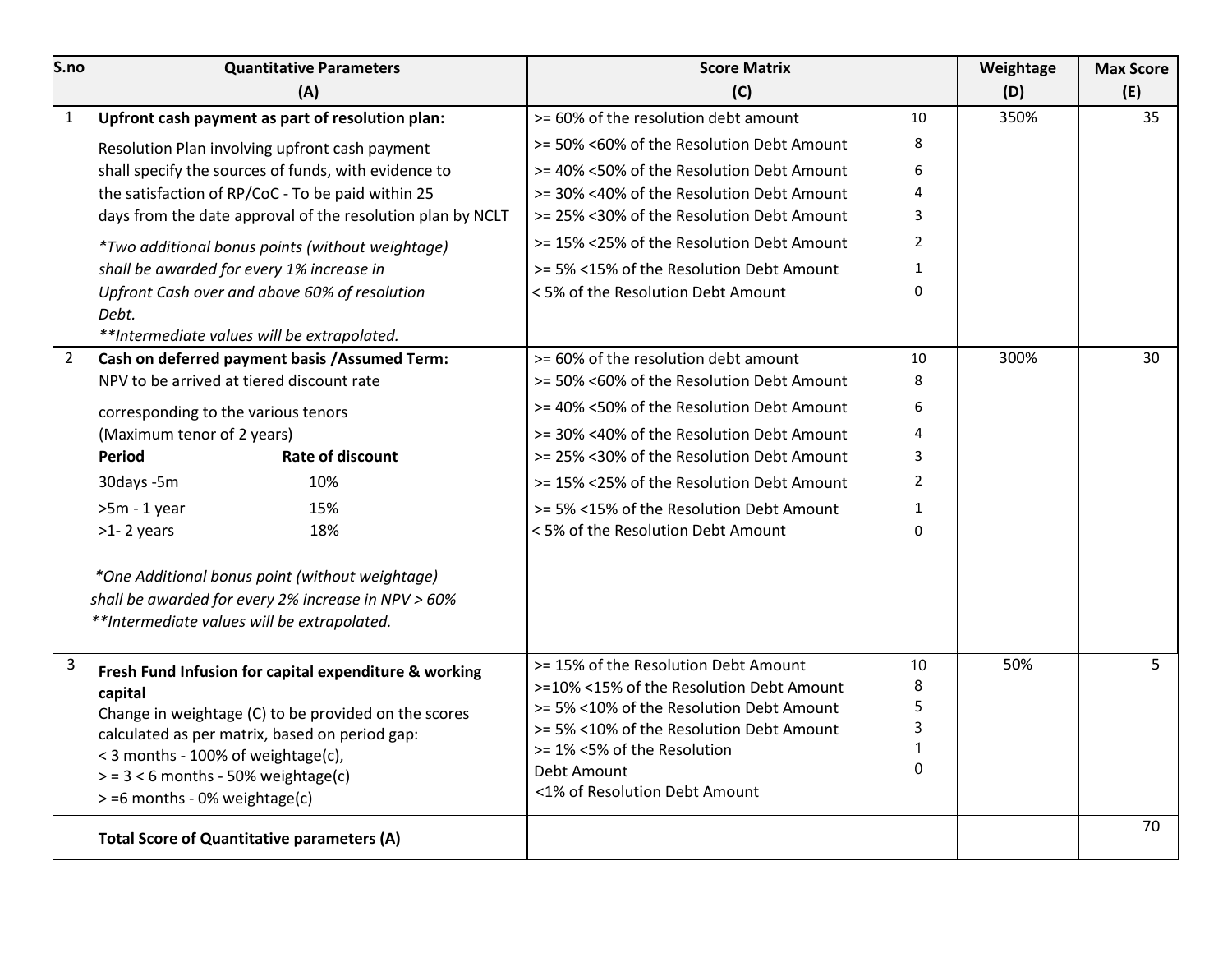| S.no           | <b>Quantitative Parameters</b>                                                                                                                        | <b>Score Matrix</b>                        |                   | Weightage | <b>Max Score</b> |
|----------------|-------------------------------------------------------------------------------------------------------------------------------------------------------|--------------------------------------------|-------------------|-----------|------------------|
|                | (A)                                                                                                                                                   | (C)                                        |                   | (D)       | (E)              |
| $\mathbf{1}$   | Upfront cash payment as part of resolution plan:                                                                                                      | >= 60% of the resolution debt amount       | 10                | 350%      | 35               |
|                | Resolution Plan involving upfront cash payment                                                                                                        | >= 50% <60% of the Resolution Debt Amount  | 8                 |           |                  |
|                | shall specify the sources of funds, with evidence to                                                                                                  | >= 40% <50% of the Resolution Debt Amount  | 6                 |           |                  |
|                | the satisfaction of RP/CoC - To be paid within 25                                                                                                     | >= 30% <40% of the Resolution Debt Amount  | 4                 |           |                  |
|                | days from the date approval of the resolution plan by NCLT                                                                                            | >= 25% <30% of the Resolution Debt Amount  | 3                 |           |                  |
|                | *Two additional bonus points (without weightage)                                                                                                      | >= 15% <25% of the Resolution Debt Amount  | $\overline{2}$    |           |                  |
|                | shall be awarded for every 1% increase in                                                                                                             | >= 5% <15% of the Resolution Debt Amount   | $\mathbf{1}$      |           |                  |
|                | Upfront Cash over and above 60% of resolution                                                                                                         | < 5% of the Resolution Debt Amount         | $\Omega$          |           |                  |
|                | Debt.                                                                                                                                                 |                                            |                   |           |                  |
|                | **Intermediate values will be extrapolated.                                                                                                           |                                            |                   |           |                  |
| $\overline{2}$ | Cash on deferred payment basis / Assumed Term:                                                                                                        | >= 60% of the resolution debt amount       | 10                | 300%      | 30               |
|                | NPV to be arrived at tiered discount rate                                                                                                             | >= 50% <60% of the Resolution Debt Amount  | 8                 |           |                  |
|                | corresponding to the various tenors                                                                                                                   | >= 40% <50% of the Resolution Debt Amount  | 6                 |           |                  |
|                | (Maximum tenor of 2 years)                                                                                                                            | >= 30% <40% of the Resolution Debt Amount  | 4                 |           |                  |
|                | Period<br><b>Rate of discount</b>                                                                                                                     | >= 25% <30% of the Resolution Debt Amount  | 3                 |           |                  |
|                | 10%<br>30days -5m                                                                                                                                     | >= 15% <25% of the Resolution Debt Amount  | 2                 |           |                  |
|                | >5m - 1 year<br>15%                                                                                                                                   | >= 5% <15% of the Resolution Debt Amount   | $\mathbf{1}$      |           |                  |
|                | $>1-2$ years<br>18%                                                                                                                                   | < 5% of the Resolution Debt Amount         | $\Omega$          |           |                  |
|                | *One Additional bonus point (without weightage)<br>shall be awarded for every 2% increase in NPV > 60%<br>**Intermediate values will be extrapolated. |                                            |                   |           |                  |
|                |                                                                                                                                                       |                                            |                   |           |                  |
| $\mathsf 3$    | Fresh Fund Infusion for capital expenditure & working                                                                                                 | >= 15% of the Resolution Debt Amount       | 10                | 50%       | 5                |
|                | capital                                                                                                                                               | >=10% <15% of the Resolution Debt Amount   | 8                 |           |                  |
|                | Change in weightage (C) to be provided on the scores                                                                                                  | >= 5% <10% of the Resolution Debt Amount   | 5                 |           |                  |
|                | calculated as per matrix, based on period gap:                                                                                                        | >= 5% <10% of the Resolution Debt Amount   | 3<br>$\mathbf{1}$ |           |                  |
|                | < 3 months - 100% of weightage(c),                                                                                                                    | >= 1% <5% of the Resolution<br>Debt Amount | 0                 |           |                  |
|                | $>$ = 3 < 6 months - 50% weightage(c)<br>> =6 months - 0% weightage(c)                                                                                | <1% of Resolution Debt Amount              |                   |           |                  |
|                | Total Score of Quantitative parameters (A)                                                                                                            |                                            |                   |           | 70               |
|                |                                                                                                                                                       |                                            |                   |           |                  |